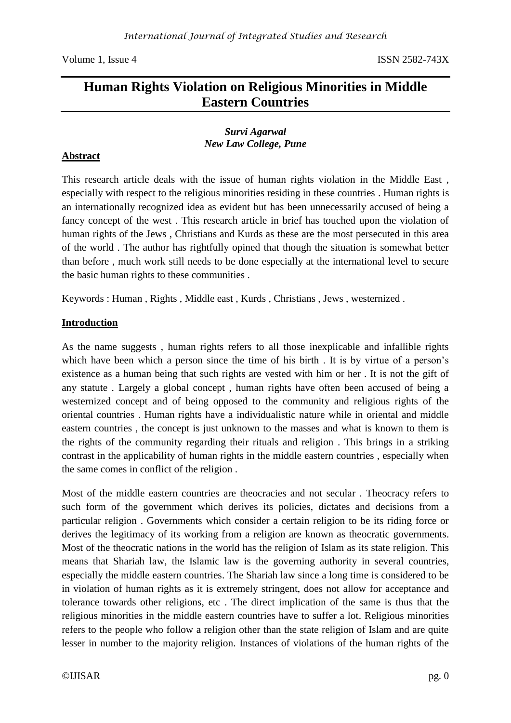# **Human Rights Violation on Religious Minorities in Middle Eastern Countries**

### *Survi Agarwal New Law College, Pune*

# **Abstract**

This research article deals with the issue of human rights violation in the Middle East , especially with respect to the religious minorities residing in these countries . Human rights is an internationally recognized idea as evident but has been unnecessarily accused of being a fancy concept of the west . This research article in brief has touched upon the violation of human rights of the Jews , Christians and Kurds as these are the most persecuted in this area of the world . The author has rightfully opined that though the situation is somewhat better than before , much work still needs to be done especially at the international level to secure the basic human rights to these communities .

Keywords : Human , Rights , Middle east , Kurds , Christians , Jews , westernized .

# **Introduction**

As the name suggests , human rights refers to all those inexplicable and infallible rights which have been which a person since the time of his birth . It is by virtue of a person's existence as a human being that such rights are vested with him or her . It is not the gift of any statute . Largely a global concept , human rights have often been accused of being a westernized concept and of being opposed to the community and religious rights of the oriental countries . Human rights have a individualistic nature while in oriental and middle eastern countries , the concept is just unknown to the masses and what is known to them is the rights of the community regarding their rituals and religion . This brings in a striking contrast in the applicability of human rights in the middle eastern countries , especially when the same comes in conflict of the religion .

Most of the middle eastern countries are theocracies and not secular . Theocracy refers to such form of the government which derives its policies, dictates and decisions from a particular religion . Governments which consider a certain religion to be its riding force or derives the legitimacy of its working from a religion are known as theocratic governments. Most of the theocratic nations in the world has the religion of Islam as its state religion. This means that Shariah law, the Islamic law is the governing authority in several countries, especially the middle eastern countries. The Shariah law since a long time is considered to be in violation of human rights as it is extremely stringent, does not allow for acceptance and tolerance towards other religions, etc . The direct implication of the same is thus that the religious minorities in the middle eastern countries have to suffer a lot. Religious minorities refers to the people who follow a religion other than the state religion of Islam and are quite lesser in number to the majority religion. Instances of violations of the human rights of the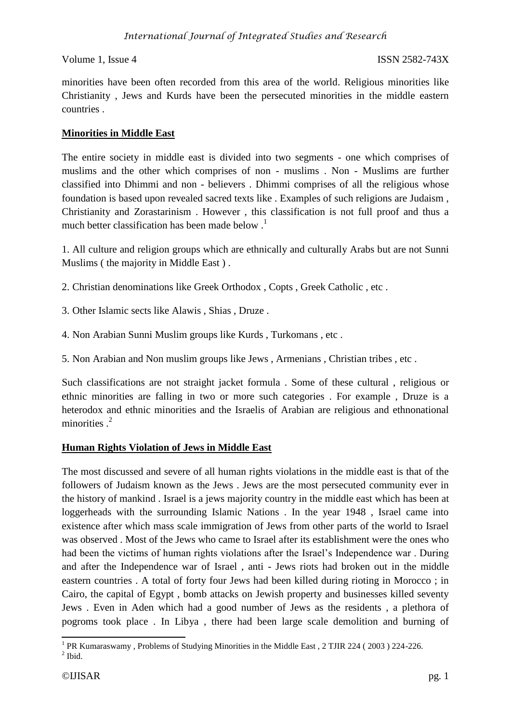minorities have been often recorded from this area of the world. Religious minorities like Christianity , Jews and Kurds have been the persecuted minorities in the middle eastern countries .

## **Minorities in Middle East**

The entire society in middle east is divided into two segments - one which comprises of muslims and the other which comprises of non - muslims . Non - Muslims are further classified into Dhimmi and non - believers . Dhimmi comprises of all the religious whose foundation is based upon revealed sacred texts like . Examples of such religions are Judaism , Christianity and Zorastarinism . However , this classification is not full proof and thus a much better classification has been made below  $<sup>1</sup>$ </sup>

1. All culture and religion groups which are ethnically and culturally Arabs but are not Sunni Muslims ( the majority in Middle East ) .

- 2. Christian denominations like Greek Orthodox , Copts , Greek Catholic , etc .
- 3. Other Islamic sects like Alawis , Shias , Druze .
- 4. Non Arabian Sunni Muslim groups like Kurds , Turkomans , etc .
- 5. Non Arabian and Non muslim groups like Jews , Armenians , Christian tribes , etc .

Such classifications are not straight jacket formula . Some of these cultural , religious or ethnic minorities are falling in two or more such categories . For example , Druze is a heterodox and ethnic minorities and the Israelis of Arabian are religious and ethnonational minorities .<sup>2</sup>

### **Human Rights Violation of Jews in Middle East**

The most discussed and severe of all human rights violations in the middle east is that of the followers of Judaism known as the Jews . Jews are the most persecuted community ever in the history of mankind . Israel is a jews majority country in the middle east which has been at loggerheads with the surrounding Islamic Nations . In the year 1948 , Israel came into existence after which mass scale immigration of Jews from other parts of the world to Israel was observed . Most of the Jews who came to Israel after its establishment were the ones who had been the victims of human rights violations after the Israel's Independence war . During and after the Independence war of Israel , anti - Jews riots had broken out in the middle eastern countries . A total of forty four Jews had been killed during rioting in Morocco ; in Cairo, the capital of Egypt , bomb attacks on Jewish property and businesses killed seventy Jews . Even in Aden which had a good number of Jews as the residents , a plethora of pogroms took place . In Libya , there had been large scale demolition and burning of

 1 PR Kumaraswamy , Problems of Studying Minorities in the Middle East , 2 TJIR 224 ( 2003 ) 224-226.  $<sup>2</sup>$  Ibid.</sup>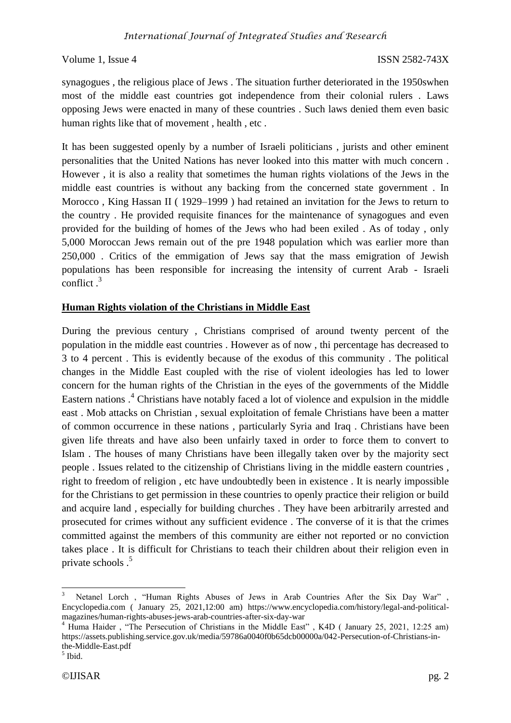synagogues , the religious place of Jews . The situation further deteriorated in the 1950swhen most of the middle east countries got independence from their colonial rulers . Laws opposing Jews were enacted in many of these countries . Such laws denied them even basic human rights like that of movement , health , etc .

It has been suggested openly by a number of Israeli politicians , jurists and other eminent personalities that the United Nations has never looked into this matter with much concern . However , it is also a reality that sometimes the human rights violations of the Jews in the middle east countries is without any backing from the concerned state government . In Morocco , King Hassan II ( 1929–1999 ) had retained an invitation for the Jews to return to the country . He provided requisite finances for the maintenance of synagogues and even provided for the building of homes of the Jews who had been exiled . As of today , only 5,000 Moroccan Jews remain out of the pre 1948 population which was earlier more than 250,000 . Critics of the emmigation of Jews say that the mass emigration of Jewish populations has been responsible for increasing the intensity of current Arab - Israeli conflict  $^3$ 

### **Human Rights violation of the Christians in Middle East**

During the previous century , Christians comprised of around twenty percent of the population in the middle east countries . However as of now , thi percentage has decreased to 3 to 4 percent . This is evidently because of the exodus of this community . The political changes in the Middle East coupled with the rise of violent ideologies has led to lower concern for the human rights of the Christian in the eyes of the governments of the Middle Eastern nations .<sup>4</sup> Christians have notably faced a lot of violence and expulsion in the middle east . Mob attacks on Christian , sexual exploitation of female Christians have been a matter of common occurrence in these nations , particularly Syria and Iraq . Christians have been given life threats and have also been unfairly taxed in order to force them to convert to Islam . The houses of many Christians have been illegally taken over by the majority sect people . Issues related to the citizenship of Christians living in the middle eastern countries , right to freedom of religion , etc have undoubtedly been in existence . It is nearly impossible for the Christians to get permission in these countries to openly practice their religion or build and acquire land , especially for building churches . They have been arbitrarily arrested and prosecuted for crimes without any sufficient evidence . The converse of it is that the crimes committed against the members of this community are either not reported or no conviction takes place . It is difficult for Christians to teach their children about their religion even in private schools .<sup>5</sup>

1

Netanel Lorch, "Human Rights Abuses of Jews in Arab Countries After the Six Day War" Encyclopedia.com ( January 25, 2021,12:00 am) https://www.encyclopedia.com/history/legal-and-politicalmagazines/human-rights-abuses-jews-arab-countries-after-six-day-war

<sup>&</sup>lt;sup>4</sup> Huma Haider, "The Persecution of Christians in the Middle East", K4D (January 25, 2021, 12:25 am) https://assets.publishing.service.gov.uk/media/59786a0040f0b65dcb00000a/042-Persecution-of-Christians-inthe-Middle-East.pdf

<sup>5</sup> Ibid.